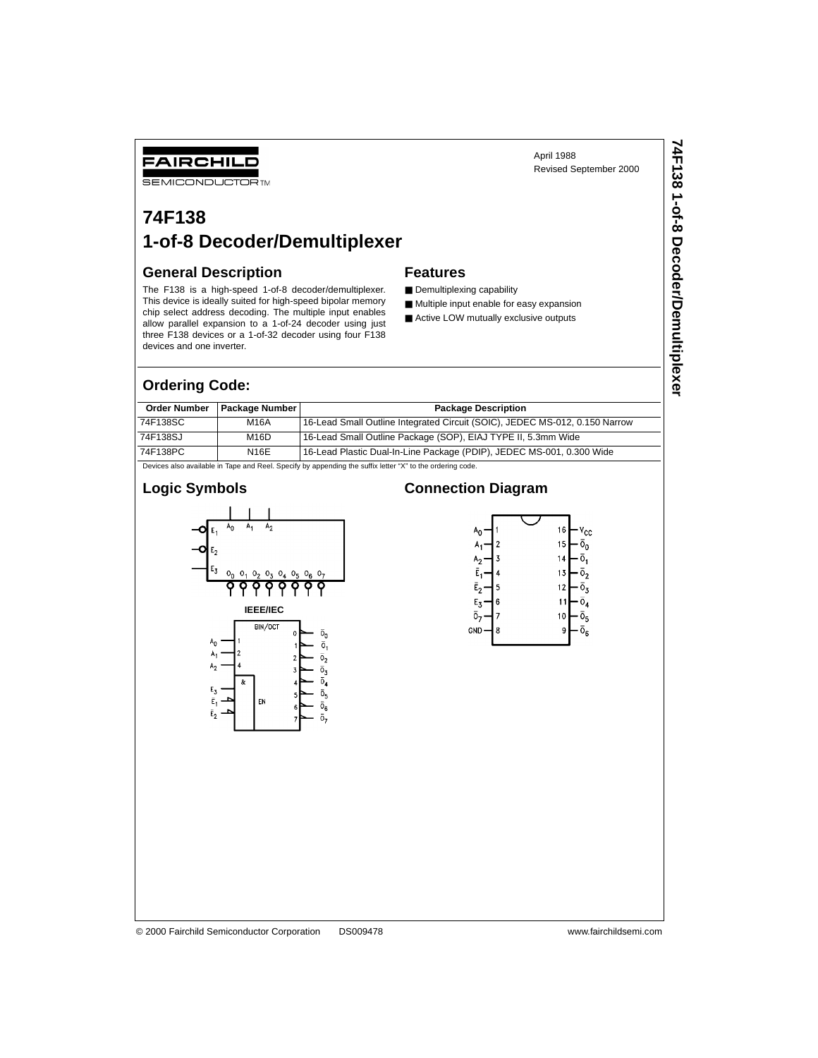April 1988 Revised September 2000

# FAIRCHILD

**SEMICONDUCTORTM** 

# **74F138 1-of-8 Decoder/Demultiplexer**

#### **General Description**

The F138 is a high-speed 1-of-8 decoder/demultiplexer. This device is ideally suited for high-speed bipolar memory chip select address decoding. The multiple input enables allow parallel expansion to a 1-of-24 decoder using just three F138 devices or a 1-of-32 decoder using four F138 devices and one inverter.

#### **Ordering Code:**

| <b>Order Number</b>                                                                                      | <b>Package Number</b> | <b>Package Description</b>                                                  |  |  |  |  |
|----------------------------------------------------------------------------------------------------------|-----------------------|-----------------------------------------------------------------------------|--|--|--|--|
| 74F138SC                                                                                                 | M16A                  | 16-Lead Small Outline Integrated Circuit (SOIC), JEDEC MS-012, 0.150 Narrow |  |  |  |  |
| 74F138SJ                                                                                                 | M <sub>16</sub> D     | 16-Lead Small Outline Package (SOP), EIAJ TYPE II, 5.3mm Wide               |  |  |  |  |
| 74F138PC                                                                                                 | N16E                  | 16-Lead Plastic Dual-In-Line Package (PDIP), JEDEC MS-001, 0.300 Wide       |  |  |  |  |
| Dovigon also available in Tane and Real, Specify by annonding the outfix letter "Y" to the ordering eads |                       |                                                                             |  |  |  |  |

**Features**

■ Demultiplexing capability

■ Multiple input enable for easy expansion ■ Active LOW mutually exclusive outputs

appending the suffix letter "X" to the ordering code.

# **Logic Symbols**



#### **Connection Diagram**



#### © 2000 Fairchild Semiconductor Corporation DS009478 www.fairchildsemi.com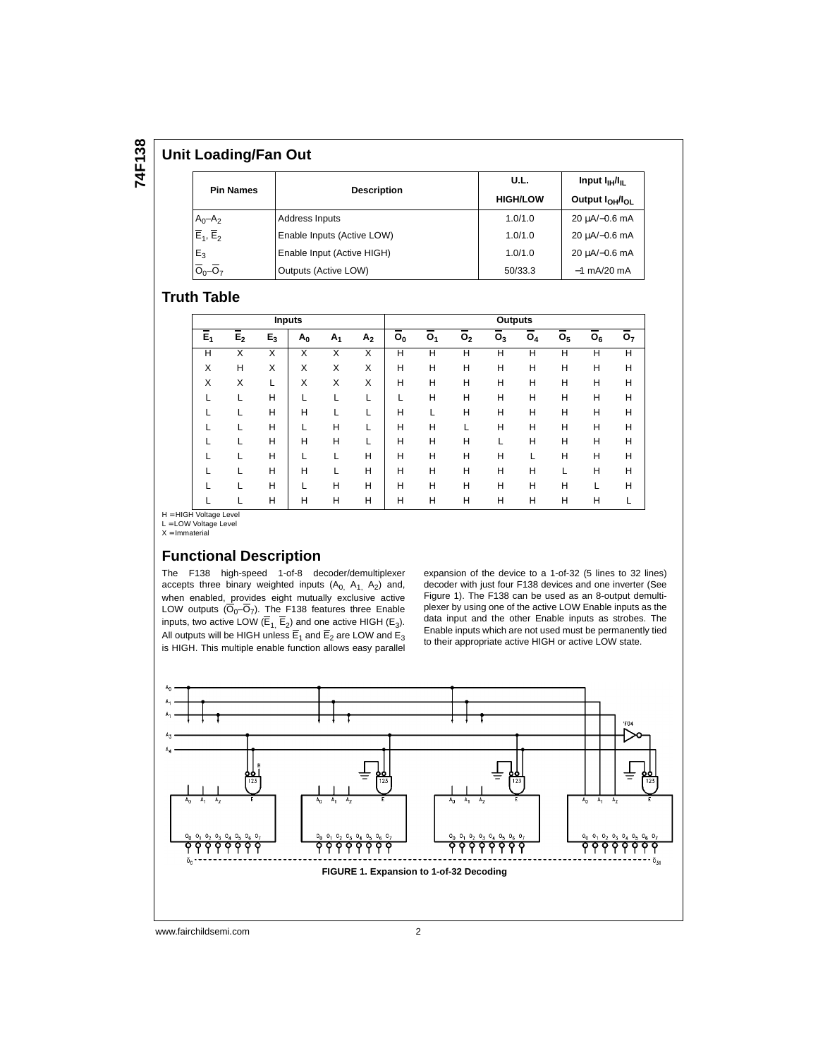# **74F138**

#### **Unit Loading/Fan Out**

|                                     |                            | U.L.            | Input $I_{\rm IH}/I_{\rm H}$            |  |  |
|-------------------------------------|----------------------------|-----------------|-----------------------------------------|--|--|
| <b>Pin Names</b>                    | <b>Description</b>         | <b>HIGH/LOW</b> | Output I <sub>OH</sub> /I <sub>OI</sub> |  |  |
| $A_0 - A_2$                         | Address Inputs             | 1.0/1.0         | 20 µA/-0.6 mA                           |  |  |
| $\overline{E}_1$ , $\overline{E}_2$ | Enable Inputs (Active LOW) | 1.0/1.0         | 20 µA/-0.6 mA                           |  |  |
| $E_3$                               | Enable Input (Active HIGH) | 1.0/1.0         | 20 µA/-0.6 mA                           |  |  |
| $\overline{O}_0 - \overline{O}_7$   | Outputs (Active LOW)       | 50/33.3         | $-1$ mA/20 mA                           |  |  |

#### **Truth Table**

|       | <b>Inputs</b>  |       |       |                |                |                |                | Outputs        |                |       |                |       |                |
|-------|----------------|-------|-------|----------------|----------------|----------------|----------------|----------------|----------------|-------|----------------|-------|----------------|
| $E_1$ | E <sub>2</sub> | $E_3$ | $A_0$ | A <sub>1</sub> | A <sub>2</sub> | O <sub>0</sub> | O <sub>1</sub> | O <sub>2</sub> | O <sub>3</sub> | $O_4$ | O <sub>5</sub> | $O_6$ | O <sub>7</sub> |
| Н     | X              | X     | X     | X              | X              | H              | Н              | H              | н              | н     | н              | н     | н              |
| X     | Н              | X     | X     | X              | X              | Н              | н              | H              | H              | Н     | Н              | Н     | н              |
| X     | X              |       | X     | X              | X              | Н              | н              | H              | H              | н     | Н              | Н     | н              |
|       |                | H     |       |                |                |                | Н              | Н              | н              | н     | н              | Н     | н              |
|       |                | н     | н     |                |                | H              |                | H              | н              | н     | Н              | н     | н              |
|       |                | н     |       | н              |                | Н              | Н              |                | H              | н     | Н              | н     | н              |
|       |                | н     | н     | н              |                | Н              | н              | Н              |                | н     | Н              | н     | н              |
|       |                | Н     |       |                | н              | Н              | н              | H              | H              |       | Н              | Н     | н              |
|       |                | Н     | н     |                | н              | H              | Н              | Н              | н              | н     |                | н     | н              |
|       |                | Н     |       | н              | н              | H              | Н              | H              | H              | н     | н              |       | н              |
|       |                | Н     | н     | н              | н              | Н              | Н              | Н              | H              | н     | Н              | Н     |                |

H = HIGH Voltage Level<br>L = LOW Voltage Level

 $X =$ Immaterial

#### **Functional Description**

The F138 high-speed 1-of-8 decoder/demultiplexer accepts three binary weighted inputs  $(A_0, A_1, A_2)$  and, when enabled, provides eight mutually exclusive active LOW outputs  $(O_0-O_7)$ . The F138 features three Enable inputs, two active LOW ( $E_1$ ,  $E_2$ ) and one active HIGH ( $E_3$ ). All outputs will be HIGH unless  $\mathsf{E}_1$  and  $\mathsf{E}_2$  are LOW and  $\mathsf{E}_3$ is HIGH. This multiple enable function allows easy parallel expansion of the device to a 1-of-32 (5 lines to 32 lines) decoder with just four F138 devices and one inverter (See Figure 1). The F138 can be used as an 8-output demultiplexer by using one of the active LOW Enable inputs as the data input and the other Enable inputs as strobes. The Enable inputs which are not used must be permanently tied to their appropriate active HIGH or active LOW state.



www.fairchildsemi.com 2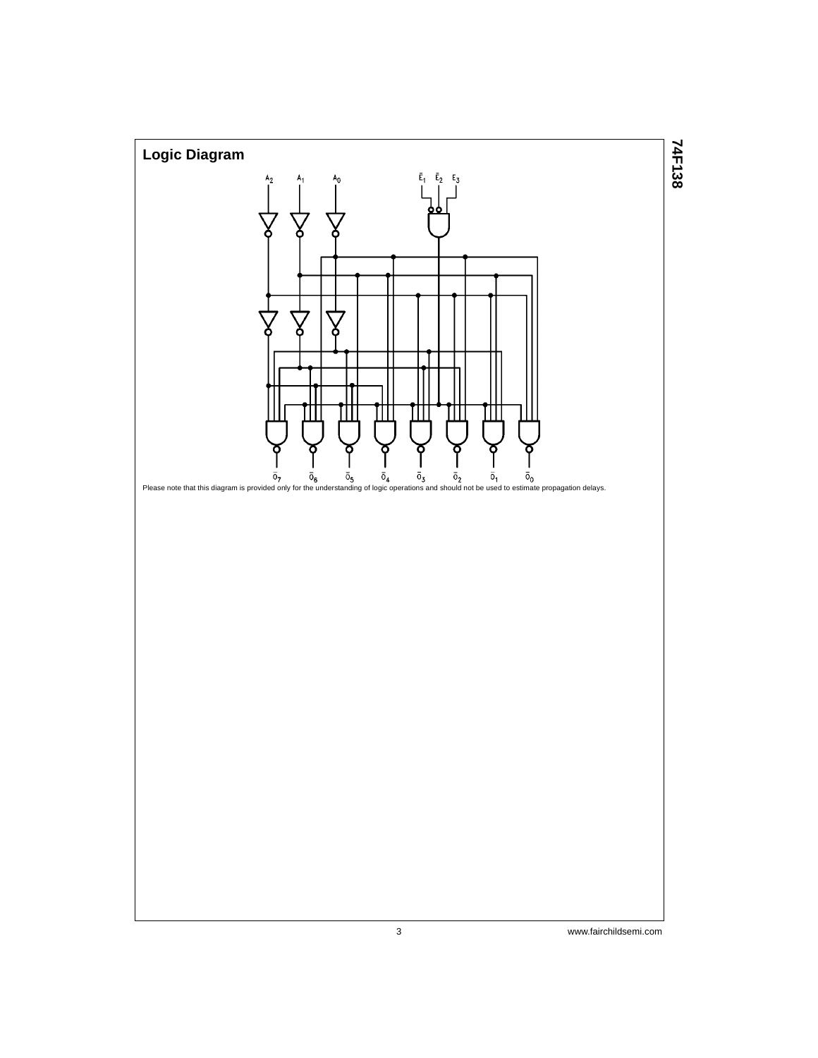

3 www.fairchildsemi.com